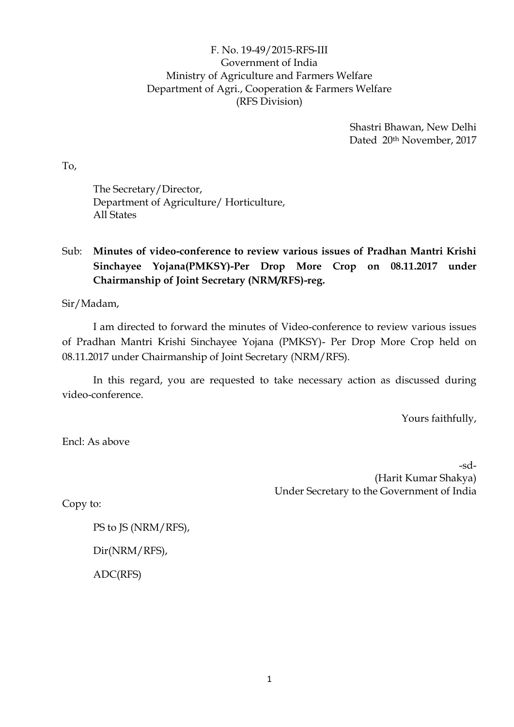## F. No. 19-49/2015-RFS-III Government of India Ministry of Agriculture and Farmers Welfare Department of Agri., Cooperation & Farmers Welfare (RFS Division)

Shastri Bhawan, New Delhi Dated 20th November, 2017

To,

The Secretary/Director, Department of Agriculture/ Horticulture, All States

# Sub: **Minutes of video-conference to review various issues of Pradhan Mantri Krishi Sinchayee Yojana(PMKSY)-Per Drop More Crop on 08.11.2017 under Chairmanship of Joint Secretary (NRM/RFS)-reg.**

Sir/Madam,

I am directed to forward the minutes of Video-conference to review various issues of Pradhan Mantri Krishi Sinchayee Yojana (PMKSY)- Per Drop More Crop held on 08.11.2017 under Chairmanship of Joint Secretary (NRM/RFS).

In this regard, you are requested to take necessary action as discussed during video-conference.

Yours faithfully,

Encl: As above

-sd- (Harit Kumar Shakya) Under Secretary to the Government of India

Copy to:

PS to JS (NRM/RFS), Dir(NRM/RFS),

ADC(RFS)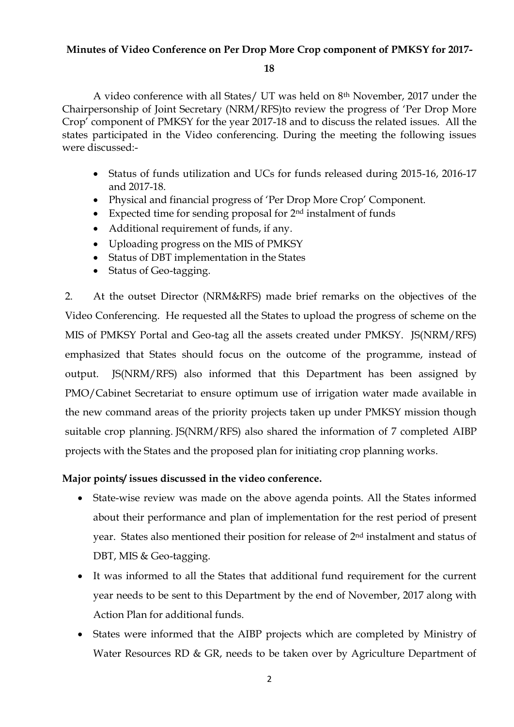#### **Minutes of Video Conference on Per Drop More Crop component of PMKSY for 2017-**

**18**

A video conference with all States/ UT was held on 8th November, 2017 under the Chairpersonship of Joint Secretary (NRM/RFS)to review the progress of 'Per Drop More Crop' component of PMKSY for the year 2017-18 and to discuss the related issues. All the states participated in the Video conferencing. During the meeting the following issues were discussed:-

- Status of funds utilization and UCs for funds released during 2015-16, 2016-17 and 2017-18.
- Physical and financial progress of 'Per Drop More Crop' Component.
- Expected time for sending proposal for  $2<sup>nd</sup>$  instalment of funds
- Additional requirement of funds, if any.
- Uploading progress on the MIS of PMKSY
- Status of DBT implementation in the States
- Status of Geo-tagging.

2. At the outset Director (NRM&RFS) made brief remarks on the objectives of the Video Conferencing. He requested all the States to upload the progress of scheme on the MIS of PMKSY Portal and Geo-tag all the assets created under PMKSY. JS(NRM/RFS) emphasized that States should focus on the outcome of the programme, instead of output. JS(NRM/RFS) also informed that this Department has been assigned by PMO/Cabinet Secretariat to ensure optimum use of irrigation water made available in the new command areas of the priority projects taken up under PMKSY mission though suitable crop planning. JS(NRM/RFS) also shared the information of 7 completed AIBP projects with the States and the proposed plan for initiating crop planning works.

## **Major points/ issues discussed in the video conference.**

- State-wise review was made on the above agenda points. All the States informed about their performance and plan of implementation for the rest period of present year. States also mentioned their position for release of 2nd instalment and status of DBT, MIS & Geo-tagging.
- It was informed to all the States that additional fund requirement for the current year needs to be sent to this Department by the end of November, 2017 along with Action Plan for additional funds.
- States were informed that the AIBP projects which are completed by Ministry of Water Resources RD & GR, needs to be taken over by Agriculture Department of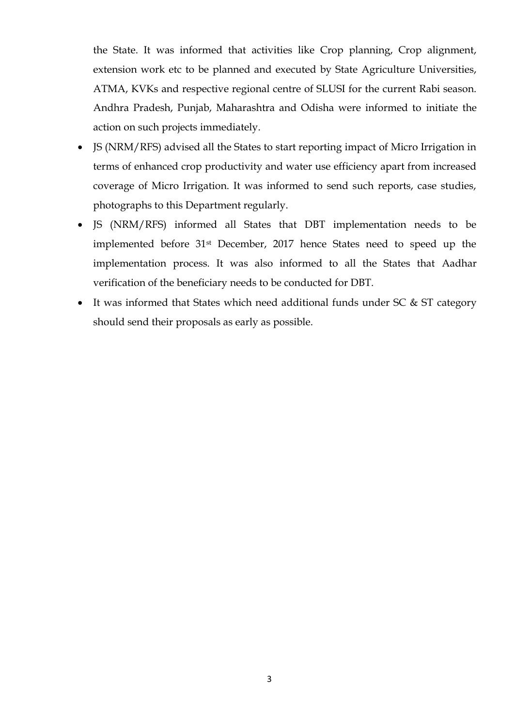the State. It was informed that activities like Crop planning, Crop alignment, extension work etc to be planned and executed by State Agriculture Universities, ATMA, KVKs and respective regional centre of SLUSI for the current Rabi season. Andhra Pradesh, Punjab, Maharashtra and Odisha were informed to initiate the action on such projects immediately.

- IS (NRM/RFS) advised all the States to start reporting impact of Micro Irrigation in terms of enhanced crop productivity and water use efficiency apart from increased coverage of Micro Irrigation. It was informed to send such reports, case studies, photographs to this Department regularly.
- JS (NRM/RFS) informed all States that DBT implementation needs to be implemented before 31st December, 2017 hence States need to speed up the implementation process. It was also informed to all the States that Aadhar verification of the beneficiary needs to be conducted for DBT.
- It was informed that States which need additional funds under SC & ST category should send their proposals as early as possible.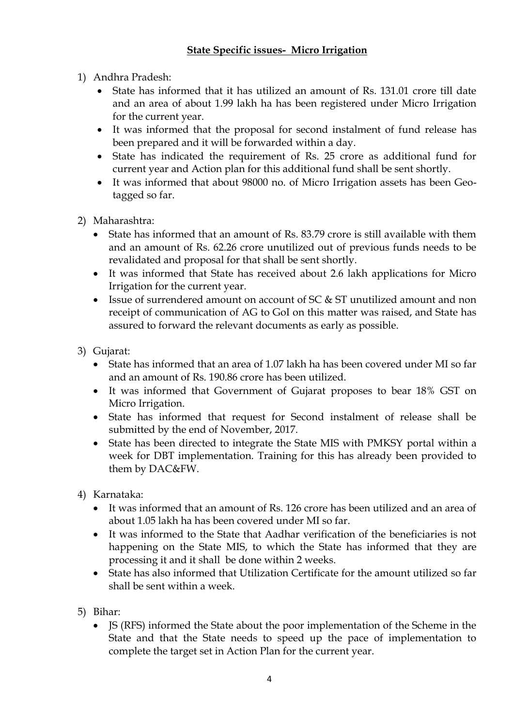- 1) Andhra Pradesh:
	- State has informed that it has utilized an amount of Rs. 131.01 crore till date and an area of about 1.99 lakh ha has been registered under Micro Irrigation for the current year.
	- It was informed that the proposal for second instalment of fund release has been prepared and it will be forwarded within a day.
	- State has indicated the requirement of Rs. 25 crore as additional fund for current year and Action plan for this additional fund shall be sent shortly.
	- It was informed that about 98000 no. of Micro Irrigation assets has been Geotagged so far.
- 2) Maharashtra:
	- State has informed that an amount of Rs. 83.79 crore is still available with them and an amount of Rs. 62.26 crore unutilized out of previous funds needs to be revalidated and proposal for that shall be sent shortly.
	- It was informed that State has received about 2.6 lakh applications for Micro Irrigation for the current year.
	- Issue of surrendered amount on account of SC & ST unutilized amount and non receipt of communication of AG to GoI on this matter was raised, and State has assured to forward the relevant documents as early as possible.
- 3) Gujarat:
	- State has informed that an area of 1.07 lakh ha has been covered under MI so far and an amount of Rs. 190.86 crore has been utilized.
	- It was informed that Government of Gujarat proposes to bear 18% GST on Micro Irrigation.
	- State has informed that request for Second instalment of release shall be submitted by the end of November, 2017.
	- State has been directed to integrate the State MIS with PMKSY portal within a week for DBT implementation. Training for this has already been provided to them by DAC&FW.
- 4) Karnataka:
	- It was informed that an amount of Rs. 126 crore has been utilized and an area of about 1.05 lakh ha has been covered under MI so far.
	- It was informed to the State that Aadhar verification of the beneficiaries is not happening on the State MIS, to which the State has informed that they are processing it and it shall be done within 2 weeks.
	- State has also informed that Utilization Certificate for the amount utilized so far shall be sent within a week.
- 5) Bihar:
	- JS (RFS) informed the State about the poor implementation of the Scheme in the State and that the State needs to speed up the pace of implementation to complete the target set in Action Plan for the current year.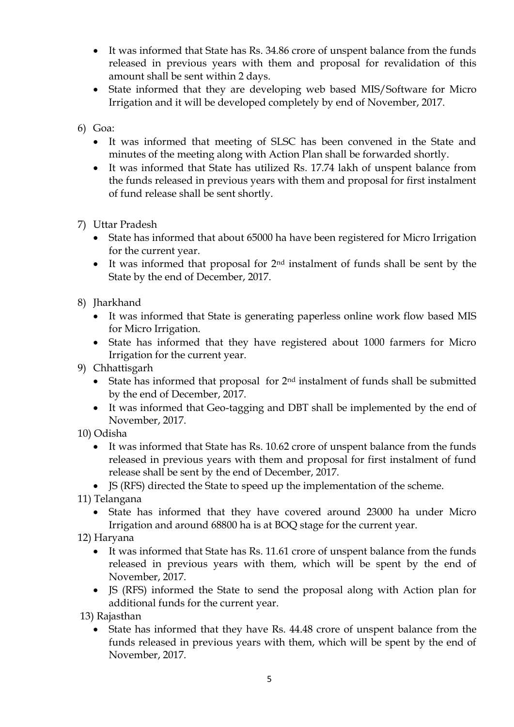- It was informed that State has Rs. 34.86 crore of unspent balance from the funds released in previous years with them and proposal for revalidation of this amount shall be sent within 2 days.
- State informed that they are developing web based MIS/Software for Micro Irrigation and it will be developed completely by end of November, 2017.
- 6) Goa:
	- It was informed that meeting of SLSC has been convened in the State and minutes of the meeting along with Action Plan shall be forwarded shortly.
	- It was informed that State has utilized Rs. 17.74 lakh of unspent balance from the funds released in previous years with them and proposal for first instalment of fund release shall be sent shortly.
- 7) Uttar Pradesh
	- State has informed that about 65000 ha have been registered for Micro Irrigation for the current year.
	- It was informed that proposal for  $2<sup>nd</sup>$  instalment of funds shall be sent by the State by the end of December, 2017.
- 8) Jharkhand
	- It was informed that State is generating paperless online work flow based MIS for Micro Irrigation.
	- State has informed that they have registered about 1000 farmers for Micro Irrigation for the current year.
- 9) Chhattisgarh
	- State has informed that proposal for  $2<sup>nd</sup>$  instalment of funds shall be submitted by the end of December, 2017.
	- It was informed that Geo-tagging and DBT shall be implemented by the end of November, 2017.
- 10) Odisha
	- It was informed that State has Rs. 10.62 crore of unspent balance from the funds released in previous years with them and proposal for first instalment of fund release shall be sent by the end of December, 2017.
	- JS (RFS) directed the State to speed up the implementation of the scheme.
- 11) Telangana
	- State has informed that they have covered around 23000 ha under Micro Irrigation and around 68800 ha is at BOQ stage for the current year.
- 12) Haryana
	- It was informed that State has Rs. 11.61 crore of unspent balance from the funds released in previous years with them, which will be spent by the end of November, 2017.
	- IS (RFS) informed the State to send the proposal along with Action plan for additional funds for the current year.
- 13) Rajasthan
	- State has informed that they have Rs. 44.48 crore of unspent balance from the funds released in previous years with them, which will be spent by the end of November, 2017.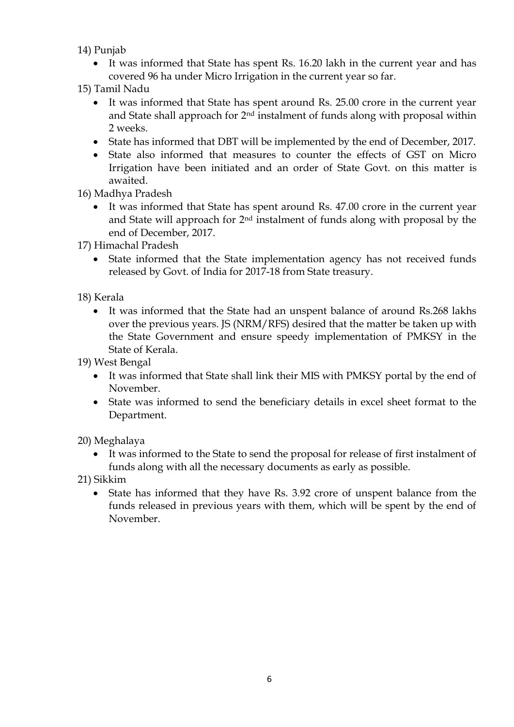- 14) Punjab
	- It was informed that State has spent Rs. 16.20 lakh in the current year and has covered 96 ha under Micro Irrigation in the current year so far.
- 15) Tamil Nadu
	- It was informed that State has spent around Rs. 25.00 crore in the current year and State shall approach for 2nd instalment of funds along with proposal within 2 weeks.
	- State has informed that DBT will be implemented by the end of December, 2017.
	- State also informed that measures to counter the effects of GST on Micro Irrigation have been initiated and an order of State Govt. on this matter is awaited.
- 16) Madhya Pradesh
	- It was informed that State has spent around Rs. 47.00 crore in the current year and State will approach for 2nd instalment of funds along with proposal by the end of December, 2017.
- 17) Himachal Pradesh
	- State informed that the State implementation agency has not received funds released by Govt. of India for 2017-18 from State treasury.
- 18) Kerala
	- It was informed that the State had an unspent balance of around Rs.268 lakhs over the previous years. JS (NRM/RFS) desired that the matter be taken up with the State Government and ensure speedy implementation of PMKSY in the State of Kerala.
- 19) West Bengal
	- It was informed that State shall link their MIS with PMKSY portal by the end of November.
	- State was informed to send the beneficiary details in excel sheet format to the Department.

20) Meghalaya

 It was informed to the State to send the proposal for release of first instalment of funds along with all the necessary documents as early as possible.

21) Sikkim

• State has informed that they have Rs. 3.92 crore of unspent balance from the funds released in previous years with them, which will be spent by the end of November.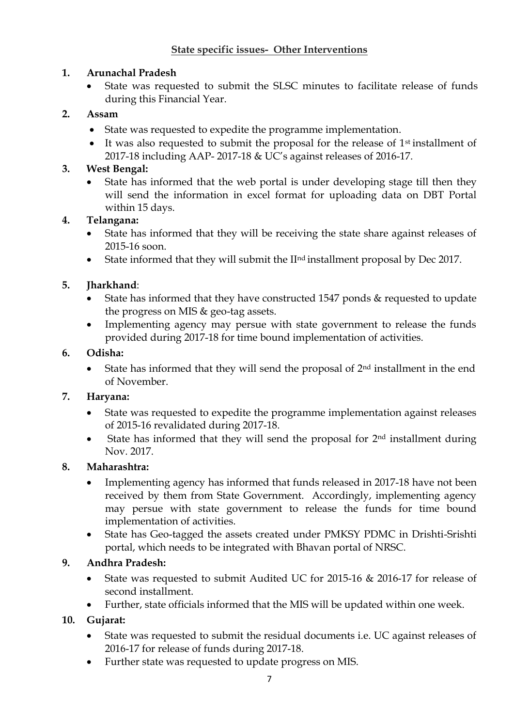## **State specific issues- Other Interventions**

## **1. Arunachal Pradesh**

 State was requested to submit the SLSC minutes to facilitate release of funds during this Financial Year.

## **2. Assam**

- State was requested to expedite the programme implementation.
- It was also requested to submit the proposal for the release of  $1<sup>st</sup>$  installment of 2017-18 including AAP- 2017-18 & UC's against releases of 2016-17.

## **3. West Bengal:**

 State has informed that the web portal is under developing stage till then they will send the information in excel format for uploading data on DBT Portal within 15 days.

## **4. Telangana:**

- State has informed that they will be receiving the state share against releases of 2015-16 soon.
- State informed that they will submit the IInd installment proposal by Dec 2017.

## **5. Jharkhand**:

- State has informed that they have constructed 1547 ponds & requested to update the progress on MIS & geo-tag assets.
- Implementing agency may persue with state government to release the funds provided during 2017-18 for time bound implementation of activities.

## **6. Odisha:**

 State has informed that they will send the proposal of 2nd installment in the end of November.

## **7. Haryana:**

- State was requested to expedite the programme implementation against releases of 2015-16 revalidated during 2017-18.
- State has informed that they will send the proposal for 2nd installment during Nov. 2017.

## **8. Maharashtra:**

- Implementing agency has informed that funds released in 2017-18 have not been received by them from State Government. Accordingly, implementing agency may persue with state government to release the funds for time bound implementation of activities.
- State has Geo-tagged the assets created under PMKSY PDMC in Drishti-Srishti portal, which needs to be integrated with Bhavan portal of NRSC.

## **9. Andhra Pradesh:**

- State was requested to submit Audited UC for 2015-16 & 2016-17 for release of second installment.
- Further, state officials informed that the MIS will be updated within one week.

# **10. Gujarat:**

- State was requested to submit the residual documents i.e. UC against releases of 2016-17 for release of funds during 2017-18.
- Further state was requested to update progress on MIS.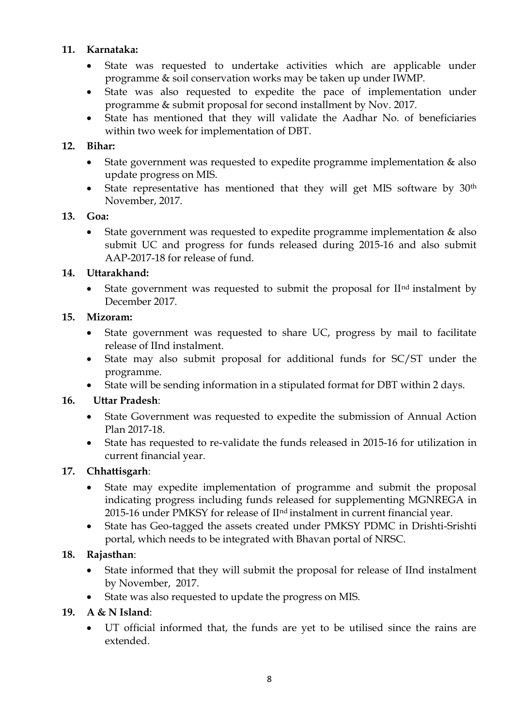## **11. Karnataka:**

- State was requested to undertake activities which are applicable under programme & soil conservation works may be taken up under IWMP.
- State was also requested to expedite the pace of implementation under programme & submit proposal for second installment by Nov. 2017.
- State has mentioned that they will validate the Aadhar No. of beneficiaries within two week for implementation of DBT.

### **12. Bihar:**

- State government was requested to expedite programme implementation & also update progress on MIS.
- State representative has mentioned that they will get MIS software by 30<sup>th</sup> November, 2017.

#### **13. Goa:**

• State government was requested to expedite programme implementation  $\&$  also submit UC and progress for funds released during 2015-16 and also submit AAP-2017-18 for release of fund.

#### **14. Uttarakhand:**

State government was requested to submit the proposal for II<sup>nd</sup> instalment by December 2017.

#### **15. Mizoram:**

- State government was requested to share UC, progress by mail to facilitate release of IInd instalment.
- State may also submit proposal for additional funds for SC/ST under the programme.
- State will be sending information in a stipulated format for DBT within 2 days.

## **16. Uttar Pradesh**:

- State Government was requested to expedite the submission of Annual Action Plan 2017-18.
- State has requested to re-validate the funds released in 2015-16 for utilization in current financial year.

## **17. Chhattisgarh**:

- State may expedite implementation of programme and submit the proposal indicating progress including funds released for supplementing MGNREGA in 2015-16 under PMKSY for release of IInd instalment in current financial year.
- State has Geo-tagged the assets created under PMKSY PDMC in Drishti-Srishti portal, which needs to be integrated with Bhavan portal of NRSC.

## **18. Rajasthan**:

- State informed that they will submit the proposal for release of IInd instalment by November, 2017.
- State was also requested to update the progress on MIS.

## **19. A & N Island**:

 UT official informed that, the funds are yet to be utilised since the rains are extended.